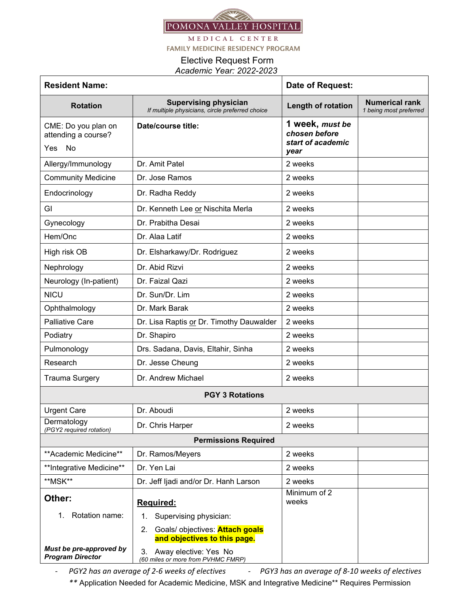

MEDICAL CENTER

**FAMILY MEDICINE RESIDENCY PROGRAM** 

## Elective Request Form  *Academic Year: 2022-2023*

| <b>Resident Name:</b>                              |                                                                                 | Date of Request:                                      |                                                 |
|----------------------------------------------------|---------------------------------------------------------------------------------|-------------------------------------------------------|-------------------------------------------------|
| <b>Rotation</b>                                    | <b>Supervising physician</b><br>If multiple physicians, circle preferred choice | Length of rotation                                    | <b>Numerical rank</b><br>1 being most preferred |
| CME: Do you plan on<br>attending a course?         | Date/course title:                                                              | 1 week, must be<br>chosen before<br>start of academic |                                                 |
| Yes No                                             |                                                                                 | year                                                  |                                                 |
| Allergy/Immunology                                 | Dr. Amit Patel                                                                  | 2 weeks                                               |                                                 |
| <b>Community Medicine</b>                          | Dr. Jose Ramos                                                                  | 2 weeks                                               |                                                 |
| Endocrinology                                      | Dr. Radha Reddy                                                                 | 2 weeks                                               |                                                 |
| GI                                                 | Dr. Kenneth Lee or Nischita Merla                                               | 2 weeks                                               |                                                 |
| Gynecology                                         | Dr. Prabitha Desai                                                              | 2 weeks                                               |                                                 |
| Hem/Onc                                            | Dr. Alaa Latif                                                                  | 2 weeks                                               |                                                 |
| High risk OB                                       | Dr. Elsharkawy/Dr. Rodriguez                                                    | 2 weeks                                               |                                                 |
| Nephrology                                         | Dr. Abid Rizvi                                                                  | 2 weeks                                               |                                                 |
| Neurology (In-patient)                             | Dr. Faizal Qazi                                                                 | 2 weeks                                               |                                                 |
| <b>NICU</b>                                        | Dr. Sun/Dr. Lim                                                                 | 2 weeks                                               |                                                 |
| Ophthalmology                                      | Dr. Mark Barak                                                                  | 2 weeks                                               |                                                 |
| <b>Palliative Care</b>                             | Dr. Lisa Raptis or Dr. Timothy Dauwalder                                        | 2 weeks                                               |                                                 |
| Podiatry                                           | Dr. Shapiro                                                                     | 2 weeks                                               |                                                 |
| Pulmonology                                        | Drs. Sadana, Davis, Eltahir, Sinha                                              | 2 weeks                                               |                                                 |
| Research                                           | Dr. Jesse Cheung                                                                | 2 weeks                                               |                                                 |
| <b>Trauma Surgery</b>                              | Dr. Andrew Michael                                                              | 2 weeks                                               |                                                 |
| <b>PGY 3 Rotations</b>                             |                                                                                 |                                                       |                                                 |
| <b>Urgent Care</b>                                 | Dr. Aboudi                                                                      | 2 weeks                                               |                                                 |
| Dermatology<br>(PGY2 required rotation)            | Dr. Chris Harper                                                                | 2 weeks                                               |                                                 |
| <b>Permissions Required</b>                        |                                                                                 |                                                       |                                                 |
| **Academic Medicine**                              | Dr. Ramos/Meyers                                                                | 2 weeks                                               |                                                 |
| **Integrative Medicine**                           | Dr. Yen Lai                                                                     | 2 weeks                                               |                                                 |
| **MSK**                                            | Dr. Jeff Ijadi and/or Dr. Hanh Larson                                           | 2 weeks                                               |                                                 |
| Other:                                             | Required:                                                                       | Minimum of 2<br>weeks                                 |                                                 |
| Rotation name:<br>1.                               | Supervising physician:<br>1.                                                    |                                                       |                                                 |
|                                                    | Goals/ objectives: <b>Attach goals</b><br>2.<br>and objectives to this page.    |                                                       |                                                 |
| Must be pre-approved by<br><b>Program Director</b> | Away elective: Yes No<br>3.<br>(60 miles or more from PVHMC FMRP)               |                                                       |                                                 |

- PGY2 has an average of 2-6 weeks of electives - PGY3 has an average of 8-10 weeks of electives *\*\** Application Needed for Academic Medicine, MSK and Integrative Medicine\*\* Requires Permission